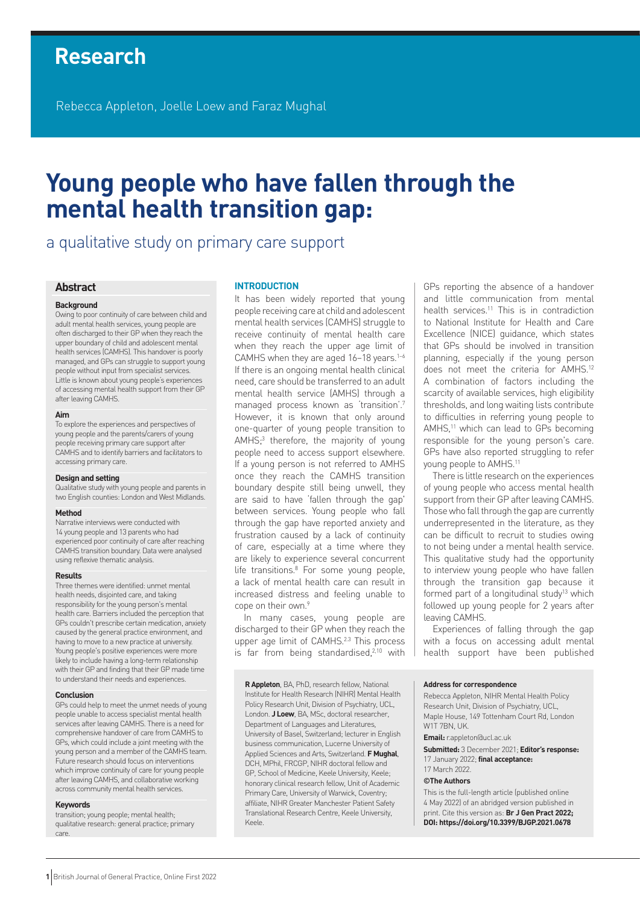# **Research**

Rebecca Appleton, Joelle Loew and Faraz Mughal

# **Young people who have fallen through the mental health transition gap:**

a qualitative study on primary care support

# **Abstract**

#### **Background**

Owing to poor continuity of care between child and adult mental health services, young people are often discharged to their GP when they reach the upper boundary of child and adolescent mental health services (CAMHS). This handover is poorly managed, and GPs can struggle to support young people without input from specialist services. Little is known about young people's experiences of accessing mental health support from their GP after leaving CAMHS.

#### **Aim**

To explore the experiences and perspectives of young people and the parents/carers of young people receiving primary care support after CAMHS and to identify barriers and facilitators to accessing primary care.

#### **Design and setting**

Qualitative study with young people and parents in two English counties: London and West Midlands.

#### **Method**

Narrative interviews were conducted with 14 young people and 13 parents who had experienced poor continuity of care after reaching CAMHS transition boundary. Data were analysed using reflexive thematic analysis.

#### **Results**

Three themes were identified: unmet mental health needs, disjointed care, and taking responsibility for the young person's mental health care. Barriers included the perception that GPs couldn't prescribe certain medication, anxiety caused by the general practice environment, and having to move to a new practice at university. Young people's positive experiences were more likely to include having a long-term relationship with their GP and finding that their GP made time to understand their needs and experiences.

#### **Conclusion**

GPs could help to meet the unmet needs of young people unable to access specialist mental health services after leaving CAMHS. There is a need for comprehensive handover of care from CAMHS to GPs, which could include a joint meeting with the young person and a member of the CAMHS team. Future research should focus on interventions which improve continuity of care for young people after leaving CAMHS, and collaborative working across community mental health services.

#### **Keywords**

transition; young people; mental health; qualitative research: general practice; primary care.

#### **INTRODUCTION**

It has been widely reported that young people receiving care at child and adolescent mental health services (CAMHS) struggle to receive continuity of mental health care when they reach the upper age limit of CAMHS when they are aged 16-18 years.<sup>1-6</sup> If there is an ongoing mental health clinical need, care should be transferred to an adult mental health service (AMHS) through a managed process known as 'transition'.7 However, it is known that only around one-quarter of young people transition to AMHS;<sup>3</sup> therefore, the majority of young people need to access support elsewhere. If a young person is not referred to AMHS once they reach the CAMHS transition boundary despite still being unwell, they are said to have 'fallen through the gap' between services. Young people who fall through the gap have reported anxiety and frustration caused by a lack of continuity of care, especially at a time where they are likely to experience several concurrent life transitions.<sup>8</sup> For some young people, a lack of mental health care can result in increased distress and feeling unable to cope on their own.<sup>9</sup>

In many cases, young people are discharged to their GP when they reach the upper age limit of CAMHS.<sup>2.3</sup> This process is far from being standardised, $2,10$  with

**R Appleton**, BA, PhD, research fellow, National Institute for Health Research (NIHR) Mental Health Policy Research Unit, Division of Psychiatry, UCL, London. **J Loew**, BA, MSc, doctoral researcher, Department of Languages and Literatures, University of Basel, Switzerland; lecturer in English business communication, Lucerne University of Applied Sciences and Arts, Switzerland. **F Mughal**, DCH, MPhil, FRCGP, NIHR doctoral fellow and GP, School of Medicine, Keele University, Keele; honorary clinical research fellow, Unit of Academic Primary Care, University of Warwick, Coventry; affiliate, NIHR Greater Manchester Patient Safety Translational Research Centre, Keele University, Keele.

GPs reporting the absence of a handover and little communication from mental health services.<sup>11</sup> This is in contradiction to National Institute for Health and Care Excellence (NICE) guidance, which states that GPs should be involved in transition planning, especially if the young person does not meet the criteria for AMHS.12 A combination of factors including the scarcity of available services, high eligibility thresholds, and long waiting lists contribute to difficulties in referring young people to AMHS,<sup>11</sup> which can lead to GPs becoming responsible for the young person's care. GPs have also reported struggling to refer young people to AMHS.11

There is little research on the experiences of young people who access mental health support from their GP after leaving CAMHS. Those who fall through the gap are currently underrepresented in the literature, as they can be difficult to recruit to studies owing to not being under a mental health service. This qualitative study had the opportunity to interview young people who have fallen through the transition gap because it formed part of a longitudinal study $13$  which followed up young people for 2 years after leaving CAMHS.

Experiences of falling through the gap with a focus on accessing adult mental health support have been published

#### **Address for correspondence**

Rebecca Appleton, NIHR Mental Health Policy Research Unit, Division of Psychiatry, UCL, Maple House, 149 Tottenham Court Rd, London W1T 7BN, UK.

**Email:** [r.appleton@ucl.ac.uk](mailto:r.appleton@ucl.ac.uk)

**Submitted:** 3 December 2021; **Editor's response:** 17 January 2022; **final acceptance:**  17 March 2022.

#### **©The Authors**

This is the full-length article (published online 4 May 2022) of an abridged version published in print. Cite this version as: **Br J Gen Pract 2022; DOI: <https://doi.org/10.3399/BJGP.2021.0678>**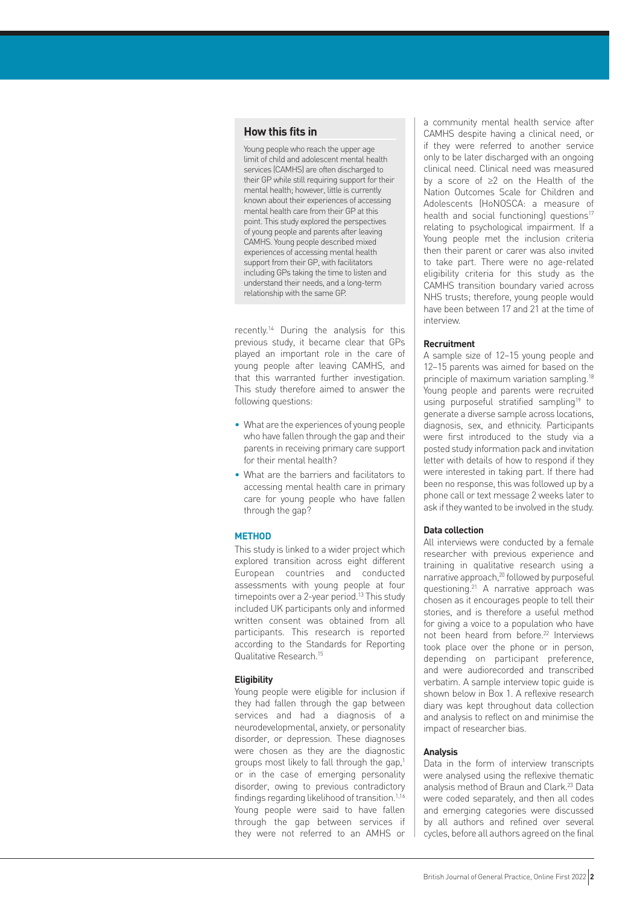# **How this fits in**

Young people who reach the upper age limit of child and adolescent mental health services (CAMHS) are often discharged to their GP while still requiring support for their mental health; however, little is currently known about their experiences of accessing mental health care from their GP at this point. This study explored the perspectives of young people and parents after leaving CAMHS. Young people described mixed experiences of accessing mental health support from their GP, with facilitators including GPs taking the time to listen and understand their needs, and a long-term relationship with the same GP.

recently.14 During the analysis for this previous study, it became clear that GPs played an important role in the care of young people after leaving CAMHS, and that this warranted further investigation. This study therefore aimed to answer the following questions:

- What are the experiences of young people who have fallen through the gap and their parents in receiving primary care support for their mental health?
- What are the barriers and facilitators to accessing mental health care in primary care for young people who have fallen through the gap?

## **METHOD**

This study is linked to a wider project which explored transition across eight different European countries and conducted assessments with young people at four timepoints over a 2-year period.<sup>13</sup> This study included UK participants only and informed written consent was obtained from all participants. This research is reported according to the Standards for Reporting Qualitative Research.15

## **Eligibility**

Young people were eligible for inclusion if they had fallen through the gap between services and had a diagnosis of a neurodevelopmental, anxiety, or personality disorder, or depression. These diagnoses were chosen as they are the diagnostic groups most likely to fall through the gap,<sup>1</sup> or in the case of emerging personality disorder, owing to previous contradictory findings regarding likelihood of transition.<sup>1,16</sup> Young people were said to have fallen through the gap between services if they were not referred to an AMHS or

a community mental health service after CAMHS despite having a clinical need, or if they were referred to another service only to be later discharged with an ongoing clinical need. Clinical need was measured by a score of ≥2 on the Health of the Nation Outcomes Scale for Children and Adolescents (HoNOSCA: a measure of health and social functioning) questions<sup>17</sup> relating to psychological impairment. If a Young people met the inclusion criteria then their parent or carer was also invited to take part. There were no age-related eligibility criteria for this study as the CAMHS transition boundary varied across NHS trusts; therefore, young people would have been between 17 and 21 at the time of interview.

## **Recruitment**

A sample size of 12–15 young people and 12–15 parents was aimed for based on the principle of maximum variation sampling.<sup>18</sup> Young people and parents were recruited using purposeful stratified sampling<sup>19</sup> to generate a diverse sample across locations, diagnosis, sex, and ethnicity. Participants were first introduced to the study via a posted study information pack and invitation letter with details of how to respond if they were interested in taking part. If there had been no response, this was followed up by a phone call or text message 2 weeks later to ask if they wanted to be involved in the study.

## **Data collection**

All interviews were conducted by a female researcher with previous experience and training in qualitative research using a narrative approach,<sup>20</sup> followed by purposeful questioning.21 A narrative approach was chosen as it encourages people to tell their stories, and is therefore a useful method for giving a voice to a population who have not been heard from before.22 Interviews took place over the phone or in person, depending on participant preference, and were audiorecorded and transcribed verbatim. A sample interview topic guide is shown below in Box 1. A reflexive research diary was kept throughout data collection and analysis to reflect on and minimise the impact of researcher bias.

#### **Analysis**

Data in the form of interview transcripts were analysed using the reflexive thematic analysis method of Braun and Clark.23 Data were coded separately, and then all codes and emerging categories were discussed by all authors and refined over several cycles, before all authors agreed on the final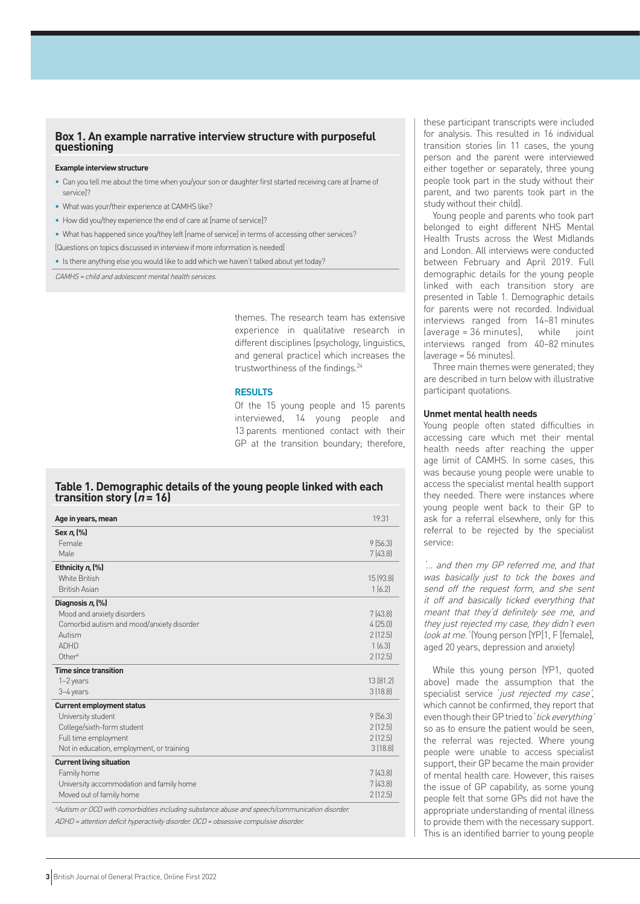# **Box 1. An example narrative interview structure with purposeful questioning**

#### **Example interview structure**

- Can you tell me about the time when you/your son or daughter first started receiving care at [name of service]?
- What was your/their experience at CAMHS like?
- How did you/they experience the end of care at [name of service]?
- What has happened since you/they left [name of service] in terms of accessing other services?
- [Questions on topics discussed in interview if more information is needed]

• Is there anything else you would like to add which we haven't talked about yet today?

CAMHS <sup>=</sup> child and adolescent mental health services.

themes. The research team has extensive experience in qualitative research in different disciplines (psychology, linguistics, and general practice) which increases the trustworthiness of the findings.24

## **RESULTS**

Of the 15 young people and 15 parents interviewed, 14 young people and 13 parents mentioned contact with their GP at the transition boundary; therefore,

# **Table 1. Demographic details of the young people linked with each transition story (** $n = 16$ **)**

| Age in years, mean                                                                              | 19.31     |
|-------------------------------------------------------------------------------------------------|-----------|
| Sex n, (%)                                                                                      |           |
| Female                                                                                          | 9(56.3)   |
| Male                                                                                            | 7(43.8)   |
| Ethnicity $n$ , $(\%)$                                                                          |           |
| White British                                                                                   | 15 (93.8) |
| <b>British Asian</b>                                                                            | 1(6.2)    |
| Diagnosis n (%)                                                                                 |           |
| Mood and anxiety disorders                                                                      | 7(43.8)   |
| Comorbid autism and mood/anxiety disorder                                                       | 4(25.0)   |
| Autism                                                                                          | 2[12.5]   |
| <b>ADHD</b>                                                                                     | 1[6.3]    |
| Other <sup>a</sup>                                                                              | 2(12.5)   |
| <b>Time since transition</b>                                                                    |           |
| 1-2 years                                                                                       | 13(81.2)  |
| 3-4 years                                                                                       | 3[18.8]   |
| <b>Current employment status</b>                                                                |           |
| University student                                                                              | 9(56.3)   |
| College/sixth-form student                                                                      | 2(12.5)   |
| Full time employment                                                                            | 2(12.5)   |
| Not in education, employment, or training                                                       | 3(18.8)   |
| <b>Current living situation</b>                                                                 |           |
| Family home                                                                                     | 7(43.8)   |
| University accommodation and family home                                                        | 7(43.8)   |
| Moved out of family home                                                                        | 2(12.5)   |
| a Autism or OCD with comorbidities including substance abuse and speech/communication disorder. |           |
| ADHD = attention deficit hyperactivity disorder. OCD = obsessive compulsive disorder.           |           |

these participant transcripts were included for analysis. This resulted in 16 individual transition stories (in 11 cases, the young person and the parent were interviewed either together or separately, three young people took part in the study without their parent, and two parents took part in the study without their child).

Young people and parents who took part belonged to eight different NHS Mental Health Trusts across the West Midlands and London. All interviews were conducted between February and April 2019. Full demographic details for the young people linked with each transition story are presented in Table 1. Demographic details for parents were not recorded. Individual interviews ranged from 14–81 minutes (average = 36 minutes), while joint interviews ranged from 40–82 minutes (average = 56 minutes).

Three main themes were generated; they are described in turn below with illustrative participant quotations.

## **Unmet mental health needs**

Young people often stated difficulties in accessing care which met their mental health needs after reaching the upper age limit of CAMHS. In some cases, this was because young people were unable to access the specialist mental health support they needed. There were instances where young people went back to their GP to ask for a referral elsewhere, only for this referral to be rejected by the specialist service:

'… and then my GP referred me, and that was basically just to tick the boxes and send off the request form, and she sent it off and basically ticked everything that meant that they'd definitely see me, and they just rejected my case, they didn't even look at me. ' (Young person [YP]1, F [female], aged 20 years, depression and anxiety)

While this young person (YP1, quoted above) made the assumption that the specialist service 'just rejected my case', which cannot be confirmed, they report that even though their GP tried to 'tick everything' so as to ensure the patient would be seen, the referral was rejected. Where young people were unable to access specialist support, their GP became the main provider of mental health care. However, this raises the issue of GP capability, as some young people felt that some GPs did not have the appropriate understanding of mental illness to provide them with the necessary support. This is an identified barrier to young people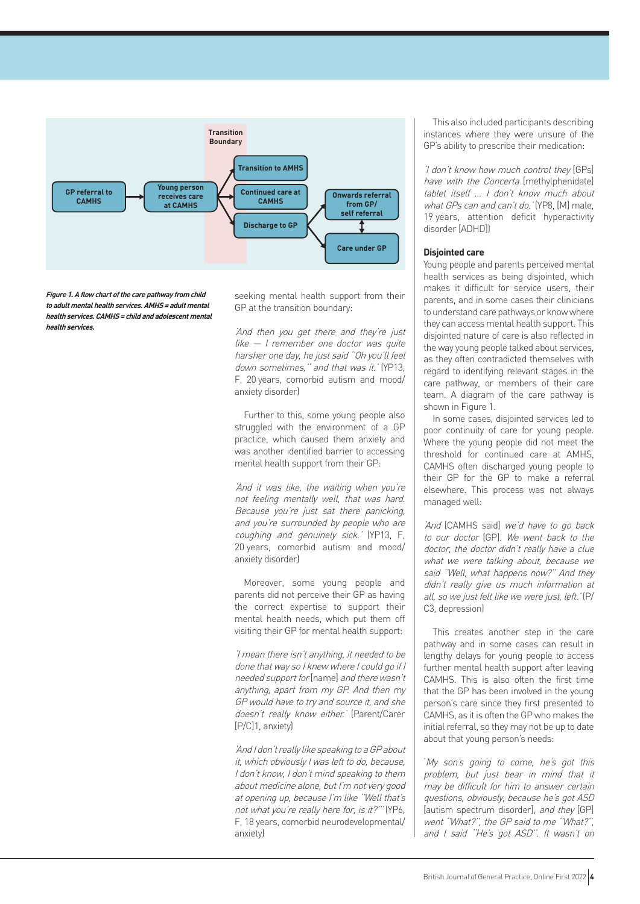

**Figure 1. A flow chart of the care pathway from child to adult mental health services. AMHS <sup>=</sup> adult mental health services. CAMHS <sup>=</sup> child and adolescent mental health services.**

seeking mental health support from their GP at the transition boundary:

'And then you get there and they're just like — I remember one doctor was quite harsher one day, he just said ''Oh you'll feel down sometimes,'' and that was it.' (YP13, F, 20 years, comorbid autism and mood/ anxiety disorder)

Further to this, some young people also struggled with the environment of a GP practice, which caused them anxiety and was another identified barrier to accessing mental health support from their GP:

'And it was like, the waiting when you're not feeling mentally well, that was hard. Because you're just sat there panicking, and you're surrounded by people who are coughing and genuinely sick.' (YP13, F, 20 years, comorbid autism and mood/ anxiety disorder)

Moreover, some young people and parents did not perceive their GP as having the correct expertise to support their mental health needs, which put them off visiting their GP for mental health support:

'I mean there isn't anything, it needed to be done that way so I knew where I could go if I needed support for [name] and there wasn't anything, apart from my GP. And then my GP would have to try and source it, and she doesn't really know either.' (Parent/Carer [P/C]1, anxiety)

'And I don't really like speaking to a GP about it, which obviously I was left to do, because, I don't know, I don't mind speaking to them about medicine alone, but I'm not very good at opening up, because I'm like ''Well that's not what you're really here for, is it?''' (YP6, F, 18 years, comorbid neurodevelopmental/ anxiety)

This also included participants describing instances where they were unsure of the GP's ability to prescribe their medication:

'I don't know how much control they [GPs] have with the Concerta [methylphenidate] tablet itself … I don't know much about what GPs can and can't do.' (YP8, [M] male, 19 years, attention deficit hyperactivity disorder [ADHD])

# **Disjointed care**

Young people and parents perceived mental health services as being disjointed, which makes it difficult for service users, their parents, and in some cases their clinicians to understand care pathways or know where they can access mental health support. This disjointed nature of care is also reflected in the way young people talked about services, as they often contradicted themselves with regard to identifying relevant stages in the care pathway, or members of their care team. A diagram of the care pathway is shown in Figure 1.

In some cases, disjointed services led to poor continuity of care for young people. Where the young people did not meet the threshold for continued care at AMHS, CAMHS often discharged young people to their GP for the GP to make a referral elsewhere. This process was not always managed well:

'And [CAMHS said] we'd have to go back to our doctor [GP]. We went back to the doctor, the doctor didn't really have a clue what we were talking about, because we said ''Well, what happens now?'' And they didn't really give us much information at all, so we just felt like we were just, left.' (P/ C3, depression)

This creates another step in the care pathway and in some cases can result in lengthy delays for young people to access further mental health support after leaving CAMHS. This is also often the first time that the GP has been involved in the young person's care since they first presented to CAMHS, as it is often the GP who makes the initial referral, so they may not be up to date about that young person's needs:

'My son's going to come, he's got this problem, but just bear in mind that it may be difficult for him to answer certain questions, obviously, because he's got ASD [autism spectrum disorder], and they [GP] went ''What?'', the GP said to me ''What?'', and I said ''He's got ASD''. It wasn't on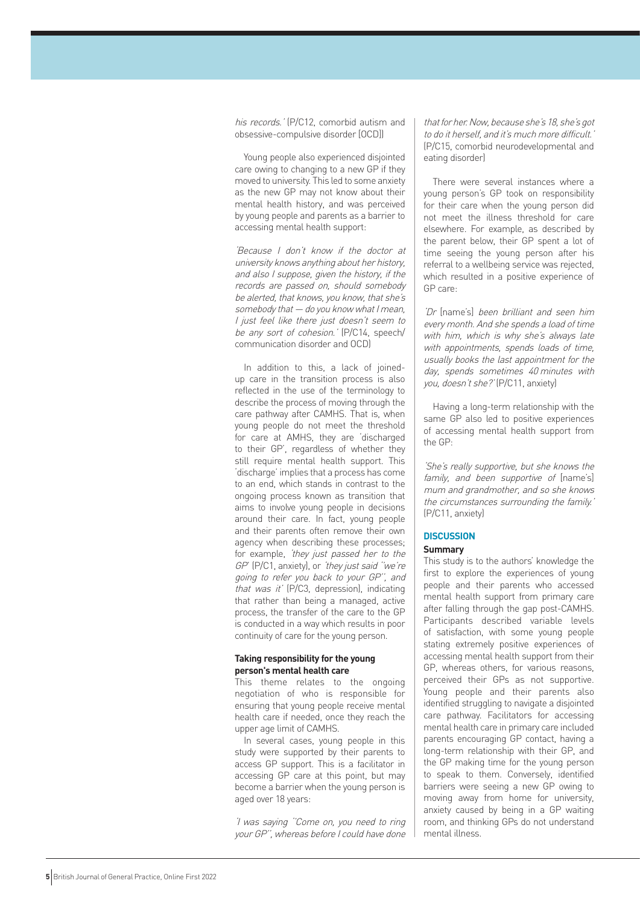his records.' (P/C12, comorbid autism and obsessive-compulsive disorder [OCD])

Young people also experienced disjointed care owing to changing to a new GP if they moved to university. This led to some anxiety as the new GP may not know about their mental health history, and was perceived by young people and parents as a barrier to accessing mental health support:

'Because I don't know if the doctor at university knows anything about her history, and also I suppose, given the history, if the records are passed on, should somebody be alerted, that knows, you know, that she's somebody that — do you know what I mean, I just feel like there just doesn't seem to be any sort of cohesion.' (P/C14, speech/ communication disorder and OCD)

In addition to this, a lack of joinedup care in the transition process is also reflected in the use of the terminology to describe the process of moving through the care pathway after CAMHS. That is, when young people do not meet the threshold for care at AMHS, they are 'discharged to their GP', regardless of whether they still require mental health support. This 'discharge' implies that a process has come to an end, which stands in contrast to the ongoing process known as transition that aims to involve young people in decisions around their care. In fact, young people and their parents often remove their own agency when describing these processes; for example, 'they just passed her to the GP' (P/C1, anxiety), or 'they just said ''we're going to refer you back to your GP'', and that was it' (P/C3, depression), indicating that rather than being a managed, active process, the transfer of the care to the GP is conducted in a way which results in poor continuity of care for the young person.

## **Taking responsibility for the young person's mental health care**

This theme relates to the ongoing negotiation of who is responsible for ensuring that young people receive mental health care if needed, once they reach the upper age limit of CAMHS.

In several cases, young people in this study were supported by their parents to access GP support. This is a facilitator in accessing GP care at this point, but may become a barrier when the young person is aged over 18 years:

'I was saying ''Come on, you need to ring your GP'', whereas before I could have done

that for her. Now, because she's 18, she's got to do it herself, and it's much more difficult.' (P/C15, comorbid neurodevelopmental and eating disorder)

There were several instances where a young person's GP took on responsibility for their care when the young person did not meet the illness threshold for care elsewhere. For example, as described by the parent below, their GP spent a lot of time seeing the young person after his referral to a wellbeing service was rejected, which resulted in a positive experience of GP care:

'Dr [name's] been brilliant and seen him every month. And she spends a load of time with him, which is why she's always late with appointments, spends loads of time, usually books the last appointment for the day, spends sometimes 40 minutes with you, doesn't she?' (P/C11, anxiety)

Having a long-term relationship with the same GP also led to positive experiences of accessing mental health support from the GP:

'She's really supportive, but she knows the family, and been supportive of [name's] mum and grandmother, and so she knows the circumstances surrounding the family.' (P/C11, anxiety)

# **DISCUSSION**

# **Summary**

This study is to the authors' knowledge the first to explore the experiences of young people and their parents who accessed mental health support from primary care after falling through the gap post-CAMHS. Participants described variable levels of satisfaction, with some young people stating extremely positive experiences of accessing mental health support from their GP, whereas others, for various reasons, perceived their GPs as not supportive. Young people and their parents also identified struggling to navigate a disjointed care pathway. Facilitators for accessing mental health care in primary care included parents encouraging GP contact, having a long-term relationship with their GP, and the GP making time for the young person to speak to them. Conversely, identified barriers were seeing a new GP owing to moving away from home for university, anxiety caused by being in a GP waiting room, and thinking GPs do not understand mental illness.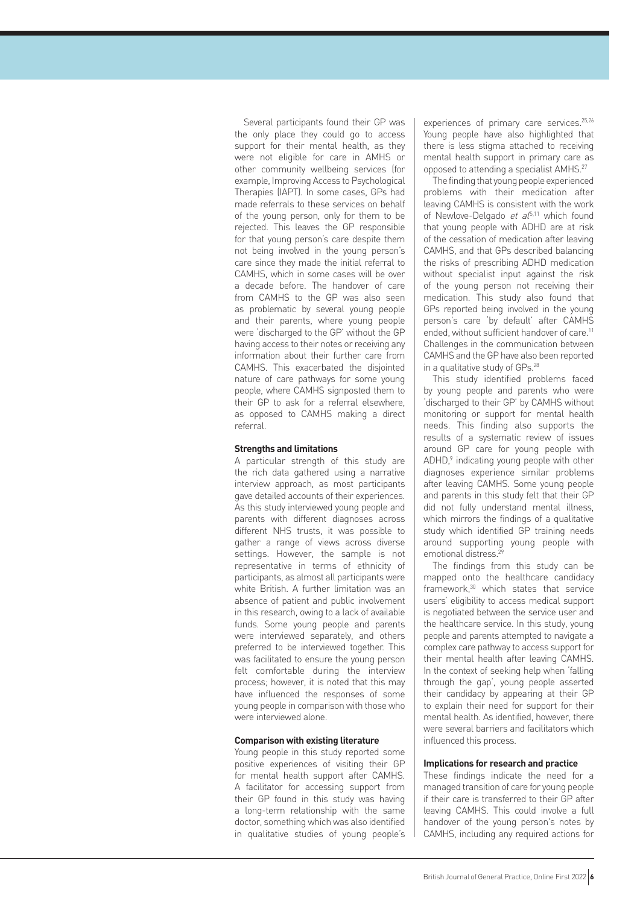Several participants found their GP was the only place they could go to access support for their mental health, as they were not eligible for care in AMHS or other community wellbeing services (for example, Improving Access to Psychological Therapies (IAPT). In some cases, GPs had made referrals to these services on behalf of the young person, only for them to be rejected. This leaves the GP responsible for that young person's care despite them not being involved in the young person's care since they made the initial referral to CAMHS, which in some cases will be over a decade before. The handover of care from CAMHS to the GP was also seen as problematic by several young people and their parents, where young people were 'discharged to the GP' without the GP having access to their notes or receiving any information about their further care from CAMHS. This exacerbated the disjointed nature of care pathways for some young people, where CAMHS signposted them to their GP to ask for a referral elsewhere, as opposed to CAMHS making a direct referral.

## **Strengths and limitations**

A particular strength of this study are the rich data gathered using a narrative interview approach, as most participants gave detailed accounts of their experiences. As this study interviewed young people and parents with different diagnoses across different NHS trusts, it was possible to gather a range of views across diverse settings. However, the sample is not representative in terms of ethnicity of participants, as almost all participants were white British. A further limitation was an absence of patient and public involvement in this research, owing to a lack of available funds. Some young people and parents were interviewed separately, and others preferred to be interviewed together. This was facilitated to ensure the young person felt comfortable during the interview process; however, it is noted that this may have influenced the responses of some young people in comparison with those who were interviewed alone.

#### **Comparison with existing literature**

Young people in this study reported some positive experiences of visiting their GP for mental health support after CAMHS. A facilitator for accessing support from their GP found in this study was having a long-term relationship with the same doctor, something which was also identified in qualitative studies of young people's experiences of primary care services.<sup>25,26</sup> Young people have also highlighted that there is less stigma attached to receiving mental health support in primary care as opposed to attending a specialist AMHS.27

The finding that young people experienced problems with their medication after leaving CAMHS is consistent with the work of Newlove-Delgado et  $a^{5,11}$  which found that young people with ADHD are at risk of the cessation of medication after leaving CAMHS, and that GPs described balancing the risks of prescribing ADHD medication without specialist input against the risk of the young person not receiving their medication. This study also found that GPs reported being involved in the young person's care 'by default' after CAMHS ended, without sufficient handover of care.<sup>11</sup> Challenges in the communication between CAMHS and the GP have also been reported in a qualitative study of GPs.<sup>28</sup>

This study identified problems faced by young people and parents who were 'discharged to their GP' by CAMHS without monitoring or support for mental health needs. This finding also supports the results of a systematic review of issues around GP care for young people with ADHD,<sup>9</sup> indicating young people with other diagnoses experience similar problems after leaving CAMHS. Some young people and parents in this study felt that their GP did not fully understand mental illness, which mirrors the findings of a qualitative study which identified GP training needs around supporting young people with emotional distress.<sup>2</sup>

The findings from this study can be mapped onto the healthcare candidacy framework,30 which states that service users' eligibility to access medical support is negotiated between the service user and the healthcare service. In this study, young people and parents attempted to navigate a complex care pathway to access support for their mental health after leaving CAMHS. In the context of seeking help when 'falling through the gap', young people asserted their candidacy by appearing at their GP to explain their need for support for their mental health. As identified, however, there were several barriers and facilitators which influenced this process.

## **Implications for research and practice**

These findings indicate the need for a managed transition of care for young people if their care is transferred to their GP after leaving CAMHS. This could involve a full handover of the young person's notes by CAMHS, including any required actions for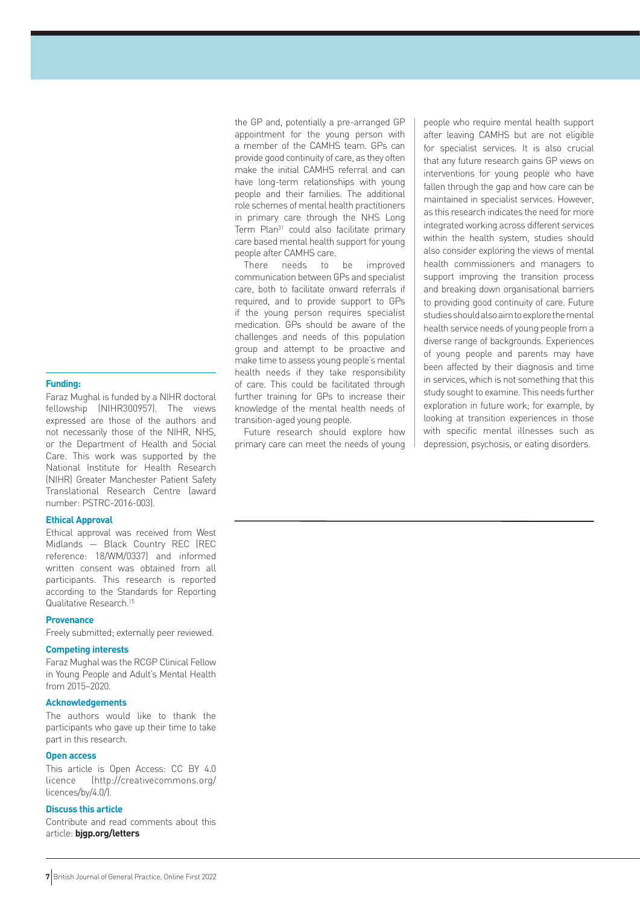#### **Funding:**

Faraz Mughal is funded by a NIHR doctoral fellowship (NIHR300957). The views expressed are those of the authors and not necessarily those of the NIHR, NHS, or the Department of Health and Social Care. This work was supported by the National Institute for Health Research (NIHR) Greater Manchester Patient Safety Translational Research Centre (award number: PSTRC-2016-003).

#### **Ethical Approval**

Ethical approval was received from West Midlands — Black Country REC (REC reference: 18/WM/0337) and informed written consent was obtained from all participants. This research is reported according to the Standards for Reporting Qualitative Research.15

#### **Provenance**

Freely submitted; externally peer reviewed.

#### **Competing interests**

Faraz Mughal was the RCGP Clinical Fellow in Young People and Adult's Mental Health from 2015–2020.

## **Acknowledgements**

The authors would like to thank the participants who gave up their time to take part in this research.

#### **Open access**

This article is Open Access: CC BY 4.0 licence ([http://creativecommons.org/](http://creativecommons.org/licences/by/4.0/) [licences/by/4.0/](http://creativecommons.org/licences/by/4.0/)).

# **Discuss this article**

Contribute and read comments about this article: **[bjgp.org/letters](http://bjgp.org/letters)**

the GP and, potentially a pre-arranged GP appointment for the young person with a member of the CAMHS team. GPs can provide good continuity of care, as they often make the initial CAMHS referral and can have long-term relationships with young people and their families. The additional role schemes of mental health practitioners in primary care through the NHS Long Term Plan<sup>31</sup> could also facilitate primary care based mental health support for young people after CAMHS care.

There needs to be improved communication between GPs and specialist care, both to facilitate onward referrals if required, and to provide support to GPs if the young person requires specialist medication. GPs should be aware of the challenges and needs of this population group and attempt to be proactive and make time to assess young people's mental health needs if they take responsibility of care. This could be facilitated through further training for GPs to increase their knowledge of the mental health needs of transition-aged young people.

Future research should explore how primary care can meet the needs of young

people who require mental health support after leaving CAMHS but are not eligible for specialist services. It is also crucial that any future research gains GP views on interventions for young people who have fallen through the gap and how care can be maintained in specialist services. However, as this research indicates the need for more integrated working across different services within the health system, studies should also consider exploring the views of mental health commissioners and managers to support improving the transition process and breaking down organisational barriers to providing good continuity of care. Future studies should also aim to explore the mental health service needs of young people from a diverse range of backgrounds. Experiences of young people and parents may have been affected by their diagnosis and time in services, which is not something that this study sought to examine. This needs further exploration in future work; for example, by looking at transition experiences in those with specific mental illnesses such as depression, psychosis, or eating disorders.